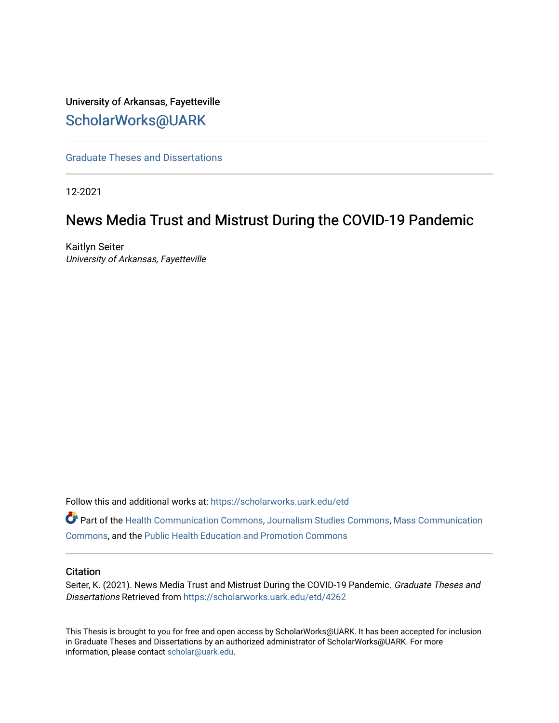# University of Arkansas, Fayetteville [ScholarWorks@UARK](https://scholarworks.uark.edu/)

[Graduate Theses and Dissertations](https://scholarworks.uark.edu/etd) 

12-2021

# News Media Trust and Mistrust During the COVID-19 Pandemic

Kaitlyn Seiter University of Arkansas, Fayetteville

Follow this and additional works at: [https://scholarworks.uark.edu/etd](https://scholarworks.uark.edu/etd?utm_source=scholarworks.uark.edu%2Fetd%2F4262&utm_medium=PDF&utm_campaign=PDFCoverPages)

Part of the [Health Communication Commons](http://network.bepress.com/hgg/discipline/330?utm_source=scholarworks.uark.edu%2Fetd%2F4262&utm_medium=PDF&utm_campaign=PDFCoverPages), [Journalism Studies Commons,](http://network.bepress.com/hgg/discipline/333?utm_source=scholarworks.uark.edu%2Fetd%2F4262&utm_medium=PDF&utm_campaign=PDFCoverPages) [Mass Communication](http://network.bepress.com/hgg/discipline/334?utm_source=scholarworks.uark.edu%2Fetd%2F4262&utm_medium=PDF&utm_campaign=PDFCoverPages)  [Commons](http://network.bepress.com/hgg/discipline/334?utm_source=scholarworks.uark.edu%2Fetd%2F4262&utm_medium=PDF&utm_campaign=PDFCoverPages), and the [Public Health Education and Promotion Commons](http://network.bepress.com/hgg/discipline/743?utm_source=scholarworks.uark.edu%2Fetd%2F4262&utm_medium=PDF&utm_campaign=PDFCoverPages) 

## **Citation**

Seiter, K. (2021). News Media Trust and Mistrust During the COVID-19 Pandemic. Graduate Theses and Dissertations Retrieved from [https://scholarworks.uark.edu/etd/4262](https://scholarworks.uark.edu/etd/4262?utm_source=scholarworks.uark.edu%2Fetd%2F4262&utm_medium=PDF&utm_campaign=PDFCoverPages)

This Thesis is brought to you for free and open access by ScholarWorks@UARK. It has been accepted for inclusion in Graduate Theses and Dissertations by an authorized administrator of ScholarWorks@UARK. For more information, please contact [scholar@uark.edu.](mailto:scholar@uark.edu)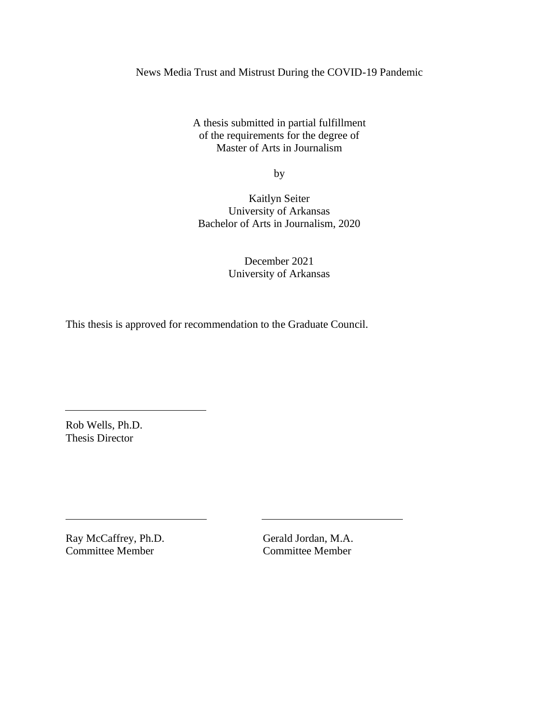News Media Trust and Mistrust During the COVID-19 Pandemic

A thesis submitted in partial fulfillment of the requirements for the degree of Master of Arts in Journalism

by

Kaitlyn Seiter University of Arkansas Bachelor of Arts in Journalism, 2020

> December 2021 University of Arkansas

This thesis is approved for recommendation to the Graduate Council.

Rob Wells, Ph.D. Thesis Director

Ray McCaffrey, Ph.D. Gerald Jordan, M.A. Committee Member Committee Member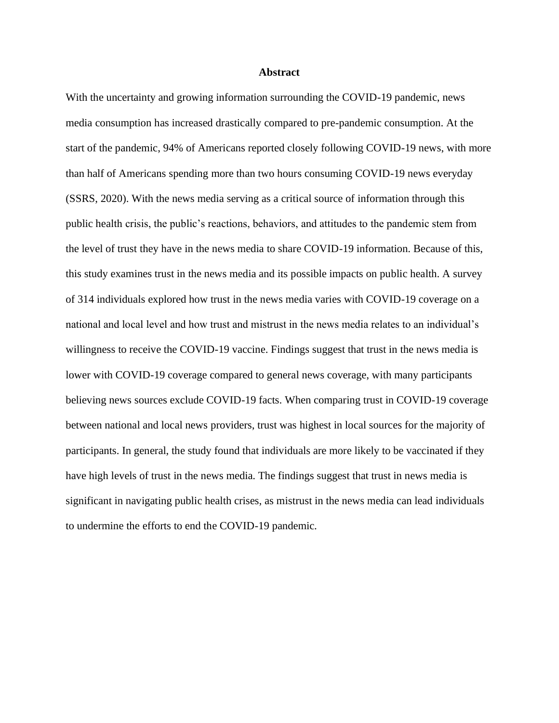### **Abstract**

With the uncertainty and growing information surrounding the COVID-19 pandemic, news media consumption has increased drastically compared to pre-pandemic consumption. At the start of the pandemic, 94% of Americans reported closely following COVID-19 news, with more than half of Americans spending more than two hours consuming COVID-19 news everyday (SSRS, 2020). With the news media serving as a critical source of information through this public health crisis, the public's reactions, behaviors, and attitudes to the pandemic stem from the level of trust they have in the news media to share COVID-19 information. Because of this, this study examines trust in the news media and its possible impacts on public health. A survey of 314 individuals explored how trust in the news media varies with COVID-19 coverage on a national and local level and how trust and mistrust in the news media relates to an individual's willingness to receive the COVID-19 vaccine. Findings suggest that trust in the news media is lower with COVID-19 coverage compared to general news coverage, with many participants believing news sources exclude COVID-19 facts. When comparing trust in COVID-19 coverage between national and local news providers, trust was highest in local sources for the majority of participants. In general, the study found that individuals are more likely to be vaccinated if they have high levels of trust in the news media. The findings suggest that trust in news media is significant in navigating public health crises, as mistrust in the news media can lead individuals to undermine the efforts to end the COVID-19 pandemic.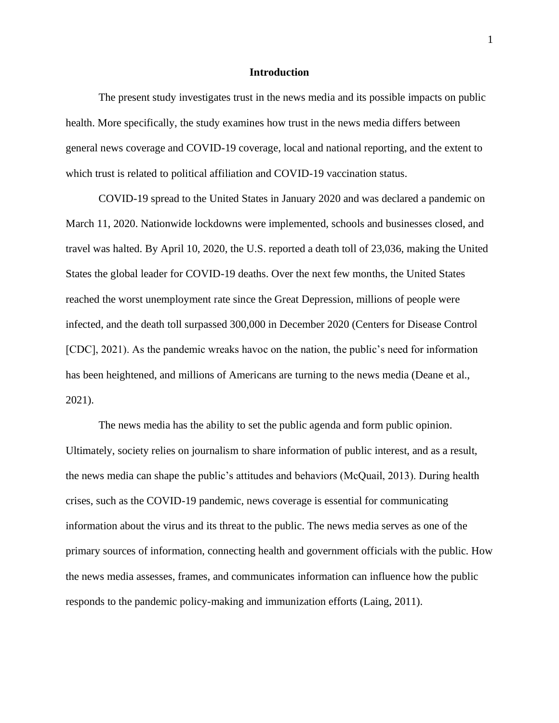#### **Introduction**

The present study investigates trust in the news media and its possible impacts on public health. More specifically, the study examines how trust in the news media differs between general news coverage and COVID-19 coverage, local and national reporting, and the extent to which trust is related to political affiliation and COVID-19 vaccination status.

COVID-19 spread to the United States in January 2020 and was declared a pandemic on March 11, 2020. Nationwide lockdowns were implemented, schools and businesses closed, and travel was halted. By April 10, 2020, the U.S. reported a death toll of 23,036, making the United States the global leader for COVID-19 deaths. Over the next few months, the United States reached the worst unemployment rate since the Great Depression, millions of people were infected, and the death toll surpassed 300,000 in December 2020 (Centers for Disease Control [CDC], 2021). As the pandemic wreaks havoc on the nation, the public's need for information has been heightened, and millions of Americans are turning to the news media (Deane et al., 2021).

The news media has the ability to set the public agenda and form public opinion. Ultimately, society relies on journalism to share information of public interest, and as a result, the news media can shape the public's attitudes and behaviors (McQuail, 2013). During health crises, such as the COVID-19 pandemic, news coverage is essential for communicating information about the virus and its threat to the public. The news media serves as one of the primary sources of information, connecting health and government officials with the public. How the news media assesses, frames, and communicates information can influence how the public responds to the pandemic policy-making and immunization efforts (Laing, 2011).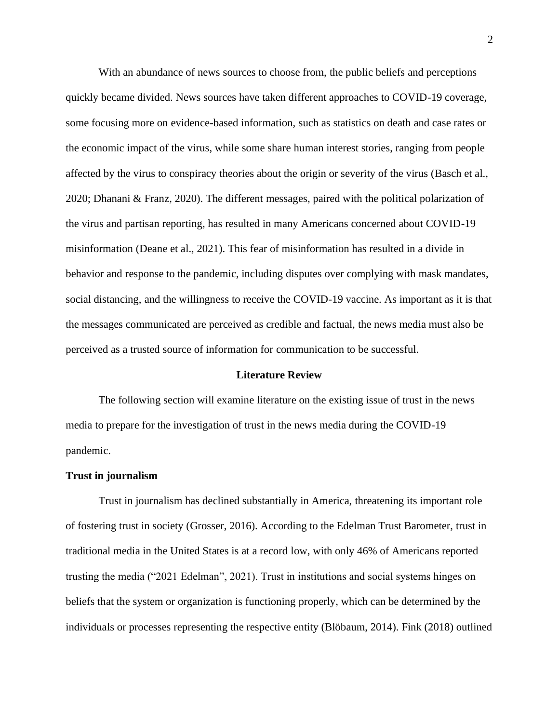With an abundance of news sources to choose from, the public beliefs and perceptions quickly became divided. News sources have taken different approaches to COVID-19 coverage, some focusing more on evidence-based information, such as statistics on death and case rates or the economic impact of the virus, while some share human interest stories, ranging from people affected by the virus to conspiracy theories about the origin or severity of the virus (Basch et al., 2020; Dhanani & Franz, 2020). The different messages, paired with the political polarization of the virus and partisan reporting, has resulted in many Americans concerned about COVID-19 misinformation (Deane et al., 2021). This fear of misinformation has resulted in a divide in behavior and response to the pandemic, including disputes over complying with mask mandates, social distancing, and the willingness to receive the COVID-19 vaccine. As important as it is that the messages communicated are perceived as credible and factual, the news media must also be perceived as a trusted source of information for communication to be successful.

#### **Literature Review**

The following section will examine literature on the existing issue of trust in the news media to prepare for the investigation of trust in the news media during the COVID-19 pandemic.

#### **Trust in journalism**

Trust in journalism has declined substantially in America, threatening its important role of fostering trust in society (Grosser, 2016). According to the Edelman Trust Barometer, trust in traditional media in the United States is at a record low, with only 46% of Americans reported trusting the media ("2021 Edelman", 2021). Trust in institutions and social systems hinges on beliefs that the system or organization is functioning properly, which can be determined by the individuals or processes representing the respective entity (Blöbaum, 2014). Fink (2018) outlined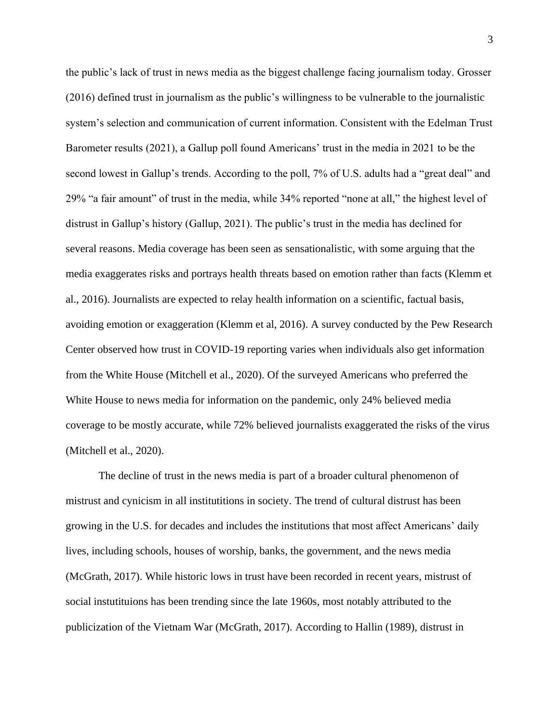the public's lack of trust in news media as the biggest challenge facing journalism today. Grosser (2016) defined trust in journalism as the public's willingness to be vulnerable to the journalistic system's selection and communication of current information. Consistent with the Edelman Trust Barometer results (2021), a Gallup poll found Americans' trust in the media in 2021 to be the second lowest in Gallup's trends. According to the poll, 7% of U.S. adults had a "great deal" and 29% "a fair amount" of trust in the media, while 34% reported "none at all," the highest level of distrust in Gallup's history (Gallup, 2021). The public's trust in the media has declined for several reasons. Media coverage has been seen as sensationalistic, with some arguing that the media exaggerates risks and portrays health threats based on emotion rather than facts (Klemm et al., 2016). Journalists are expected to relay health information on a scientific, factual basis, avoiding emotion or exaggeration (Klemm et al, 2016). A survey conducted by the Pew Research Center observed how trust in COVID-19 reporting varies when individuals also get information from the White House (Mitchell et al., 2020). Of the surveyed Americans who preferred the White House to news media for information on the pandemic, only 24% believed media coverage to be mostly accurate, while 72% believed journalists exaggerated the risks of the virus (Mitchell et al., 2020).

The decline of trust in the news media is part of a broader cultural phenomenon of mistrust and cynicism in all institutitions in society. The trend of cultural distrust has been growing in the U.S. for decades and includes the institutions that most affect Americans' daily lives, including schools, houses of worship, banks, the government, and the news media (McGrath, 2017). While historic lows in trust have been recorded in recent years, mistrust of social instutituions has been trending since the late 1960s, most notably attributed to the publicization of the Vietnam War (McGrath, 2017). According to Hallin (1989), distrust in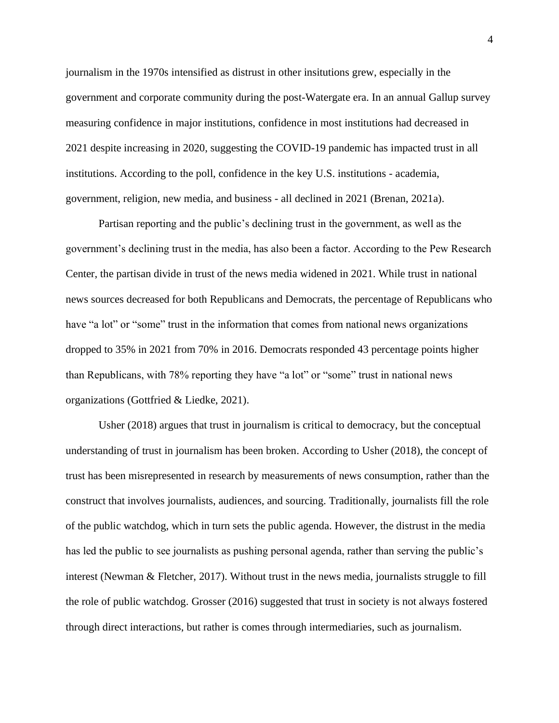journalism in the 1970s intensified as distrust in other insitutions grew, especially in the government and corporate community during the post-Watergate era. In an annual Gallup survey measuring confidence in major institutions, confidence in most institutions had decreased in 2021 despite increasing in 2020, suggesting the COVID-19 pandemic has impacted trust in all institutions. According to the poll, confidence in the key U.S. institutions - academia, government, religion, new media, and business - all declined in 2021 (Brenan, 2021a).

Partisan reporting and the public's declining trust in the government, as well as the government's declining trust in the media, has also been a factor. According to the Pew Research Center, the partisan divide in trust of the news media widened in 2021. While trust in national news sources decreased for both Republicans and Democrats, the percentage of Republicans who have "a lot" or "some" trust in the information that comes from national news organizations dropped to 35% in 2021 from 70% in 2016. Democrats responded 43 percentage points higher than Republicans, with 78% reporting they have "a lot" or "some" trust in national news organizations (Gottfried & Liedke, 2021).

Usher (2018) argues that trust in journalism is critical to democracy, but the conceptual understanding of trust in journalism has been broken. According to Usher (2018), the concept of trust has been misrepresented in research by measurements of news consumption, rather than the construct that involves journalists, audiences, and sourcing. Traditionally, journalists fill the role of the public watchdog, which in turn sets the public agenda. However, the distrust in the media has led the public to see journalists as pushing personal agenda, rather than serving the public's interest (Newman & Fletcher, 2017). Without trust in the news media, journalists struggle to fill the role of public watchdog. Grosser (2016) suggested that trust in society is not always fostered through direct interactions, but rather is comes through intermediaries, such as journalism.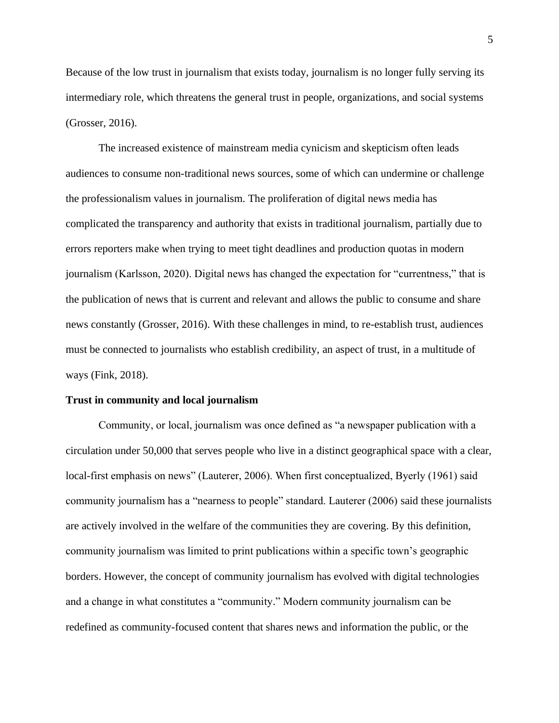Because of the low trust in journalism that exists today, journalism is no longer fully serving its intermediary role, which threatens the general trust in people, organizations, and social systems (Grosser, 2016).

The increased existence of mainstream media cynicism and skepticism often leads audiences to consume non-traditional news sources, some of which can undermine or challenge the professionalism values in journalism. The proliferation of digital news media has complicated the transparency and authority that exists in traditional journalism, partially due to errors reporters make when trying to meet tight deadlines and production quotas in modern journalism (Karlsson, 2020). Digital news has changed the expectation for "currentness," that is the publication of news that is current and relevant and allows the public to consume and share news constantly (Grosser, 2016). With these challenges in mind, to re-establish trust, audiences must be connected to journalists who establish credibility, an aspect of trust, in a multitude of ways (Fink, 2018).

#### **Trust in community and local journalism**

Community, or local, journalism was once defined as "a newspaper publication with a circulation under 50,000 that serves people who live in a distinct geographical space with a clear, local-first emphasis on news" (Lauterer, 2006). When first conceptualized, Byerly (1961) said community journalism has a "nearness to people" standard. Lauterer (2006) said these journalists are actively involved in the welfare of the communities they are covering. By this definition, community journalism was limited to print publications within a specific town's geographic borders. However, the concept of community journalism has evolved with digital technologies and a change in what constitutes a "community." Modern community journalism can be redefined as community-focused content that shares news and information the public, or the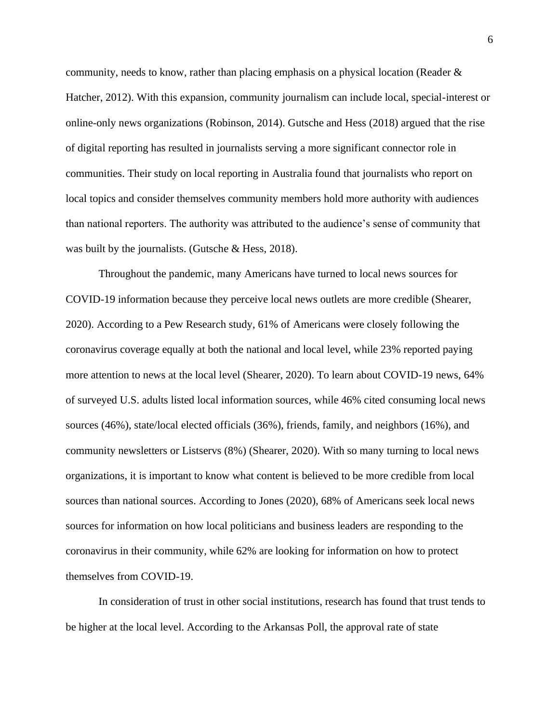community, needs to know, rather than placing emphasis on a physical location (Reader & Hatcher, 2012). With this expansion, community journalism can include local, special-interest or online-only news organizations (Robinson, 2014). Gutsche and Hess (2018) argued that the rise of digital reporting has resulted in journalists serving a more significant connector role in communities. Their study on local reporting in Australia found that journalists who report on local topics and consider themselves community members hold more authority with audiences than national reporters. The authority was attributed to the audience's sense of community that was built by the journalists. (Gutsche & Hess, 2018).

Throughout the pandemic, many Americans have turned to local news sources for COVID-19 information because they perceive local news outlets are more credible (Shearer, 2020). According to a Pew Research study, 61% of Americans were closely following the coronavirus coverage equally at both the national and local level, while 23% reported paying more attention to news at the local level (Shearer, 2020). To learn about COVID-19 news, 64% of surveyed U.S. adults listed local information sources, while 46% cited consuming local news sources (46%), state/local elected officials (36%), friends, family, and neighbors (16%), and community newsletters or Listservs (8%) (Shearer, 2020). With so many turning to local news organizations, it is important to know what content is believed to be more credible from local sources than national sources. According to Jones (2020), 68% of Americans seek local news sources for information on how local politicians and business leaders are responding to the coronavirus in their community, while 62% are looking for information on how to protect themselves from COVID-19.

In consideration of trust in other social institutions, research has found that trust tends to be higher at the local level. According to the Arkansas Poll, the approval rate of state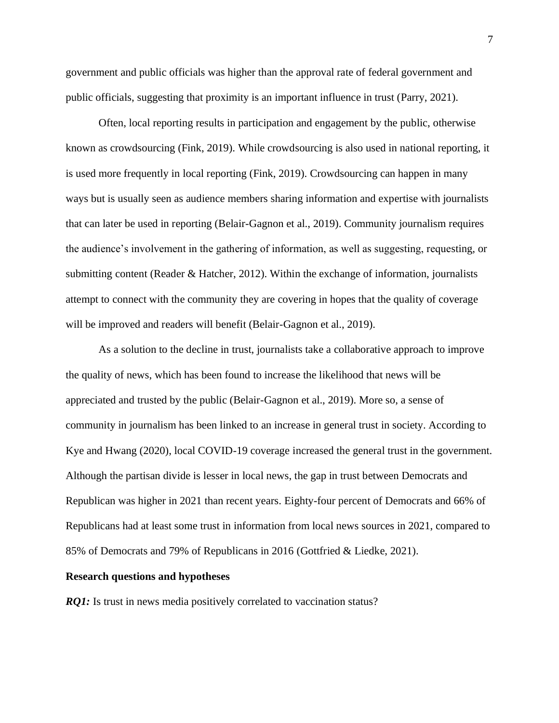government and public officials was higher than the approval rate of federal government and public officials, suggesting that proximity is an important influence in trust (Parry, 2021).

Often, local reporting results in participation and engagement by the public, otherwise known as crowdsourcing (Fink, 2019). While crowdsourcing is also used in national reporting, it is used more frequently in local reporting (Fink, 2019). Crowdsourcing can happen in many ways but is usually seen as audience members sharing information and expertise with journalists that can later be used in reporting (Belair-Gagnon et al., 2019). Community journalism requires the audience's involvement in the gathering of information, as well as suggesting, requesting, or submitting content (Reader & Hatcher, 2012). Within the exchange of information, journalists attempt to connect with the community they are covering in hopes that the quality of coverage will be improved and readers will benefit (Belair-Gagnon et al., 2019).

As a solution to the decline in trust, journalists take a collaborative approach to improve the quality of news, which has been found to increase the likelihood that news will be appreciated and trusted by the public (Belair-Gagnon et al., 2019). More so, a sense of community in journalism has been linked to an increase in general trust in society. According to Kye and Hwang (2020), local COVID-19 coverage increased the general trust in the government. Although the partisan divide is lesser in local news, the gap in trust between Democrats and Republican was higher in 2021 than recent years. Eighty-four percent of Democrats and 66% of Republicans had at least some trust in information from local news sources in 2021, compared to 85% of Democrats and 79% of Republicans in 2016 (Gottfried & Liedke, 2021).

#### **Research questions and hypotheses**

*RQ1*: Is trust in news media positively correlated to vaccination status?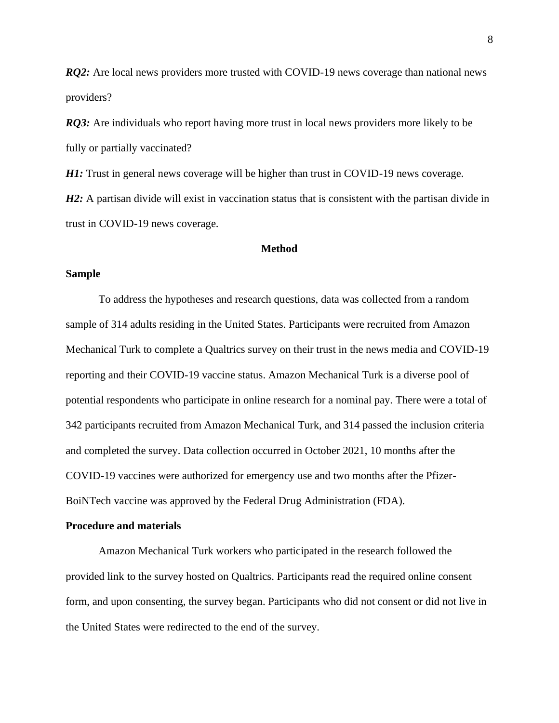*RQ2*: Are local news providers more trusted with COVID-19 news coverage than national news providers?

*RQ3*: Are individuals who report having more trust in local news providers more likely to be fully or partially vaccinated?

*H1*: Trust in general news coverage will be higher than trust in COVID-19 news coverage.

*H2*: A partisan divide will exist in vaccination status that is consistent with the partisan divide in trust in COVID-19 news coverage.

## **Method**

## **Sample**

To address the hypotheses and research questions, data was collected from a random sample of 314 adults residing in the United States. Participants were recruited from Amazon Mechanical Turk to complete a Qualtrics survey on their trust in the news media and COVID-19 reporting and their COVID-19 vaccine status. Amazon Mechanical Turk is a diverse pool of potential respondents who participate in online research for a nominal pay. There were a total of 342 participants recruited from Amazon Mechanical Turk, and 314 passed the inclusion criteria and completed the survey. Data collection occurred in October 2021, 10 months after the COVID-19 vaccines were authorized for emergency use and two months after the Pfizer-BoiNTech vaccine was approved by the Federal Drug Administration (FDA).

#### **Procedure and materials**

Amazon Mechanical Turk workers who participated in the research followed the provided link to the survey hosted on Qualtrics. Participants read the required online consent form, and upon consenting, the survey began. Participants who did not consent or did not live in the United States were redirected to the end of the survey.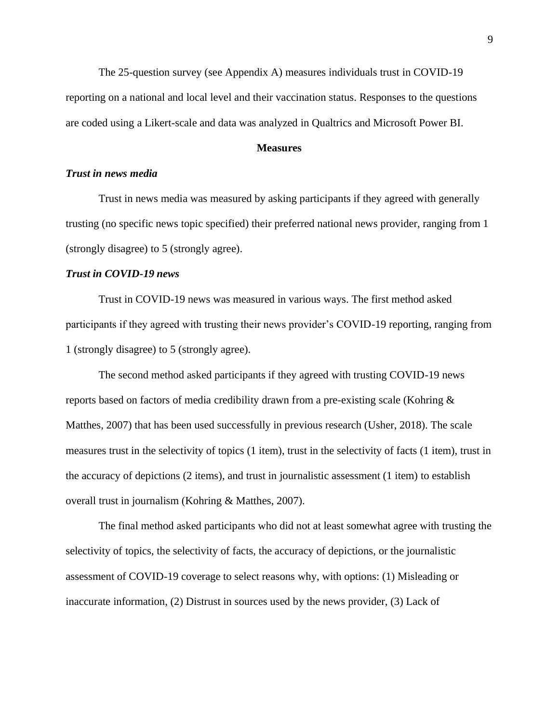The 25-question survey (see Appendix A) measures individuals trust in COVID-19 reporting on a national and local level and their vaccination status. Responses to the questions are coded using a Likert-scale and data was analyzed in Qualtrics and Microsoft Power BI.

## **Measures**

## *Trust in news media*

Trust in news media was measured by asking participants if they agreed with generally trusting (no specific news topic specified) their preferred national news provider, ranging from 1 (strongly disagree) to 5 (strongly agree).

## *Trust in COVID-19 news*

Trust in COVID-19 news was measured in various ways. The first method asked participants if they agreed with trusting their news provider's COVID-19 reporting, ranging from 1 (strongly disagree) to 5 (strongly agree).

The second method asked participants if they agreed with trusting COVID-19 news reports based on factors of media credibility drawn from a pre-existing scale (Kohring & Matthes, 2007) that has been used successfully in previous research (Usher, 2018). The scale measures trust in the selectivity of topics (1 item), trust in the selectivity of facts (1 item), trust in the accuracy of depictions (2 items), and trust in journalistic assessment (1 item) to establish overall trust in journalism (Kohring & Matthes, 2007).

The final method asked participants who did not at least somewhat agree with trusting the selectivity of topics, the selectivity of facts, the accuracy of depictions, or the journalistic assessment of COVID-19 coverage to select reasons why, with options: (1) Misleading or inaccurate information, (2) Distrust in sources used by the news provider, (3) Lack of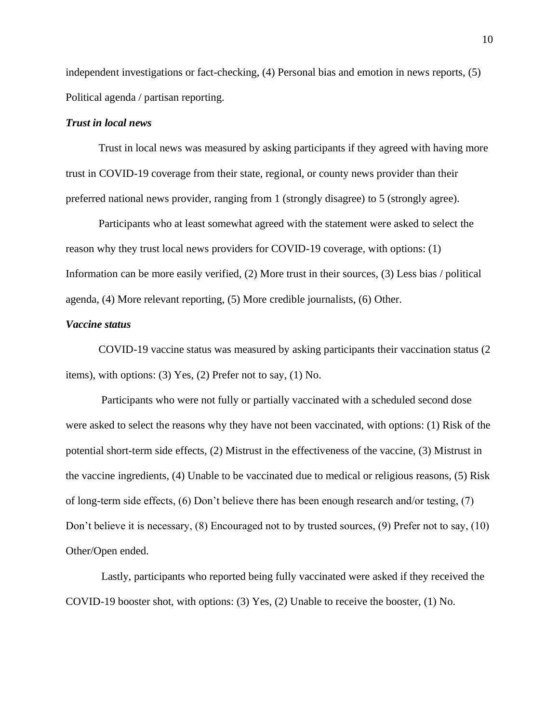independent investigations or fact-checking, (4) Personal bias and emotion in news reports, (5) Political agenda / partisan reporting.

## *Trust in local news*

Trust in local news was measured by asking participants if they agreed with having more trust in COVID-19 coverage from their state, regional, or county news provider than their preferred national news provider, ranging from 1 (strongly disagree) to 5 (strongly agree).

Participants who at least somewhat agreed with the statement were asked to select the reason why they trust local news providers for COVID-19 coverage, with options: (1) Information can be more easily verified, (2) More trust in their sources, (3) Less bias / political agenda, (4) More relevant reporting, (5) More credible journalists, (6) Other.

## *Vaccine status*

COVID-19 vaccine status was measured by asking participants their vaccination status (2 items), with options: (3) Yes, (2) Prefer not to say, (1) No.

Participants who were not fully or partially vaccinated with a scheduled second dose were asked to select the reasons why they have not been vaccinated, with options: (1) Risk of the potential short-term side effects, (2) Mistrust in the effectiveness of the vaccine, (3) Mistrust in the vaccine ingredients, (4) Unable to be vaccinated due to medical or religious reasons, (5) Risk of long-term side effects, (6) Don't believe there has been enough research and/or testing, (7) Don't believe it is necessary, (8) Encouraged not to by trusted sources, (9) Prefer not to say, (10) Other/Open ended.

Lastly, participants who reported being fully vaccinated were asked if they received the COVID-19 booster shot, with options: (3) Yes, (2) Unable to receive the booster, (1) No.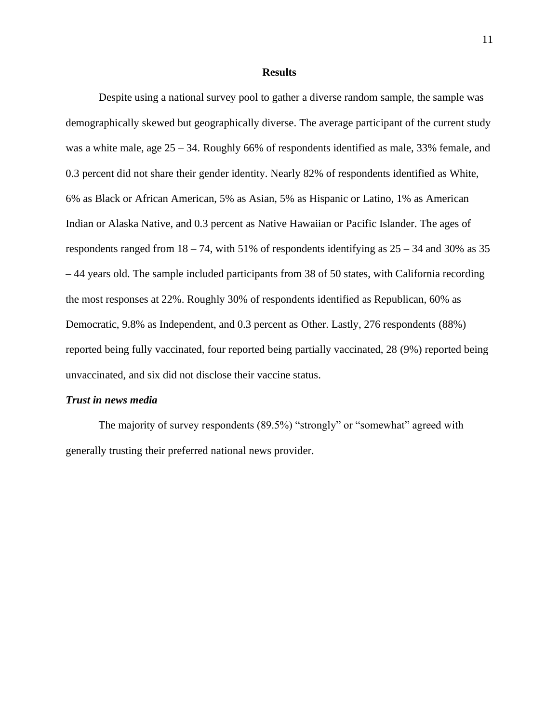#### **Results**

Despite using a national survey pool to gather a diverse random sample, the sample was demographically skewed but geographically diverse. The average participant of the current study was a white male, age 25 – 34. Roughly 66% of respondents identified as male, 33% female, and 0.3 percent did not share their gender identity. Nearly 82% of respondents identified as White, 6% as Black or African American, 5% as Asian, 5% as Hispanic or Latino, 1% as American Indian or Alaska Native, and 0.3 percent as Native Hawaiian or Pacific Islander. The ages of respondents ranged from  $18 - 74$ , with 51% of respondents identifying as  $25 - 34$  and 30% as 35 – 44 years old. The sample included participants from 38 of 50 states, with California recording the most responses at 22%. Roughly 30% of respondents identified as Republican, 60% as Democratic, 9.8% as Independent, and 0.3 percent as Other. Lastly, 276 respondents (88%) reported being fully vaccinated, four reported being partially vaccinated, 28 (9%) reported being unvaccinated, and six did not disclose their vaccine status.

#### *Trust in news media*

The majority of survey respondents (89.5%) "strongly" or "somewhat" agreed with generally trusting their preferred national news provider.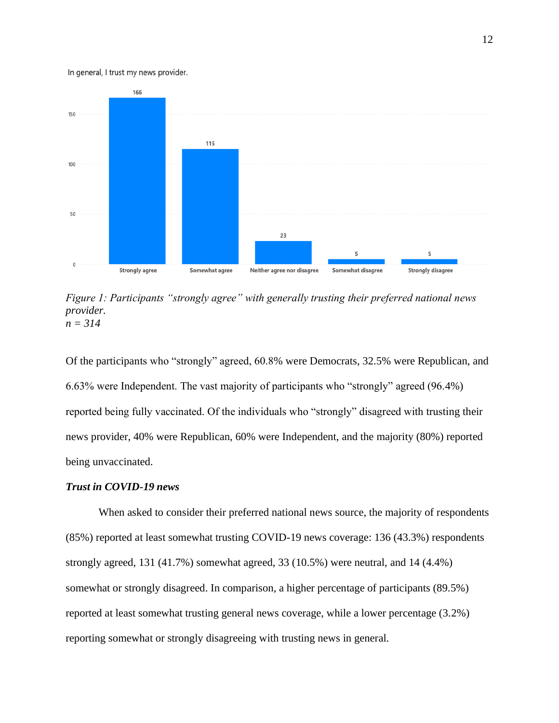#### In general, I trust my news provider.



*Figure 1: Participants "strongly agree" with generally trusting their preferred national news provider. n = 314*

Of the participants who "strongly" agreed, 60.8% were Democrats, 32.5% were Republican, and 6.63% were Independent. The vast majority of participants who "strongly" agreed (96.4%) reported being fully vaccinated. Of the individuals who "strongly" disagreed with trusting their news provider, 40% were Republican, 60% were Independent, and the majority (80%) reported being unvaccinated.

## *Trust in COVID-19 news*

When asked to consider their preferred national news source, the majority of respondents (85%) reported at least somewhat trusting COVID-19 news coverage: 136 (43.3%) respondents strongly agreed, 131 (41.7%) somewhat agreed, 33 (10.5%) were neutral, and 14 (4.4%) somewhat or strongly disagreed. In comparison, a higher percentage of participants (89.5%) reported at least somewhat trusting general news coverage, while a lower percentage (3.2%) reporting somewhat or strongly disagreeing with trusting news in general.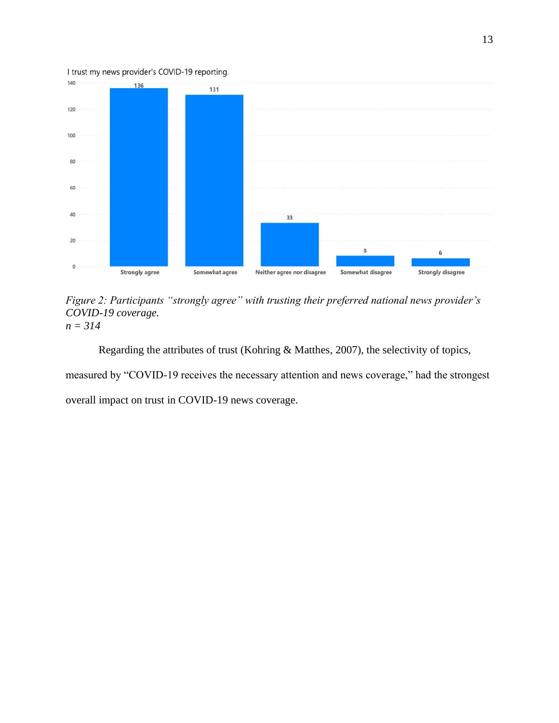

*Figure 2: Participants "strongly agree" with trusting their preferred national news provider's COVID-19 coverage. n = 314*

Regarding the attributes of trust (Kohring & Matthes, 2007), the selectivity of topics,

measured by "COVID-19 receives the necessary attention and news coverage," had the strongest

overall impact on trust in COVID-19 news coverage.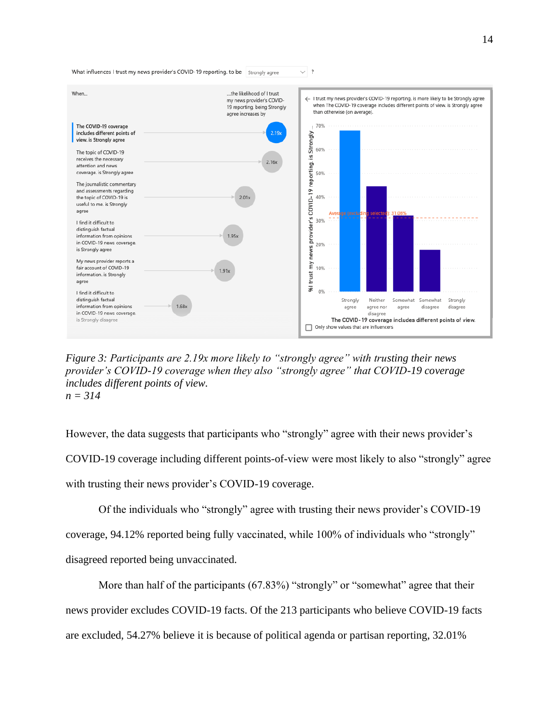

*Figure 3: Participants are 2.19x more likely to "strongly agree" with trusting their news provider's COVID-19 coverage when they also "strongly agree" that COVID-19 coverage includes different points of view. n = 314*

However, the data suggests that participants who "strongly" agree with their news provider's COVID-19 coverage including different points-of-view were most likely to also "strongly" agree with trusting their news provider's COVID-19 coverage.

Of the individuals who "strongly" agree with trusting their news provider's COVID-19 coverage, 94.12% reported being fully vaccinated, while 100% of individuals who "strongly" disagreed reported being unvaccinated.

More than half of the participants (67.83%) "strongly" or "somewhat" agree that their news provider excludes COVID-19 facts. Of the 213 participants who believe COVID-19 facts are excluded, 54.27% believe it is because of political agenda or partisan reporting, 32.01%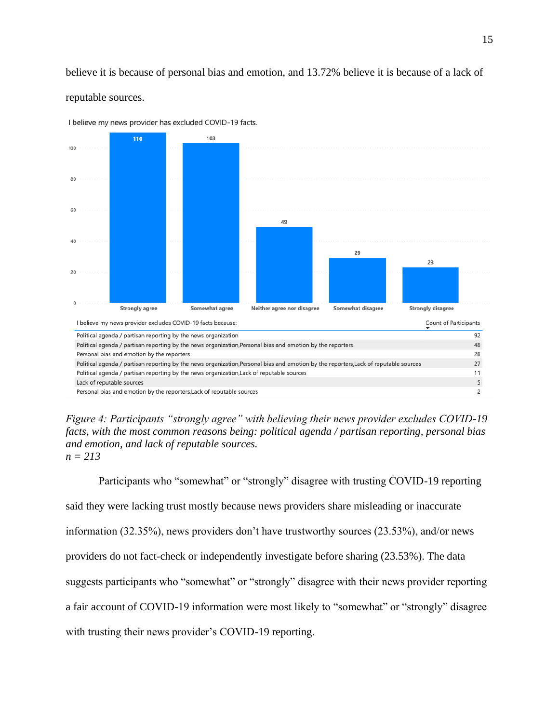believe it is because of personal bias and emotion, and 13.72% believe it is because of a lack of reputable sources.



I believe my news provider has excluded COVID-19 facts.

*Figure 4: Participants "strongly agree" with believing their news provider excludes COVID-19 facts, with the most common reasons being: political agenda / partisan reporting, personal bias and emotion, and lack of reputable sources.*  $n = 213$ 

Participants who "somewhat" or "strongly" disagree with trusting COVID-19 reporting said they were lacking trust mostly because news providers share misleading or inaccurate information (32.35%), news providers don't have trustworthy sources (23.53%), and/or news providers do not fact-check or independently investigate before sharing (23.53%). The data suggests participants who "somewhat" or "strongly" disagree with their news provider reporting a fair account of COVID-19 information were most likely to "somewhat" or "strongly" disagree with trusting their news provider's COVID-19 reporting.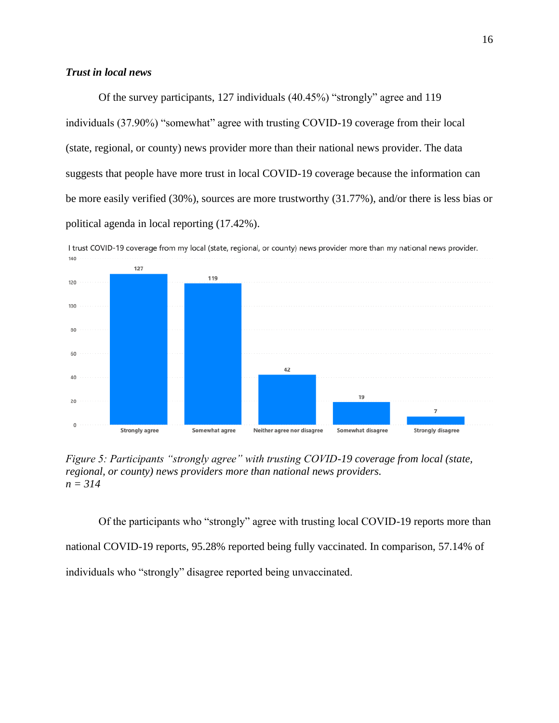## *Trust in local news*

Of the survey participants, 127 individuals (40.45%) "strongly" agree and 119 individuals (37.90%) "somewhat" agree with trusting COVID-19 coverage from their local (state, regional, or county) news provider more than their national news provider. The data suggests that people have more trust in local COVID-19 coverage because the information can be more easily verified (30%), sources are more trustworthy (31.77%), and/or there is less bias or political agenda in local reporting (17.42%).



*Figure 5: Participants "strongly agree" with trusting COVID-19 coverage from local (state, regional, or county) news providers more than national news providers. n = 314*

Of the participants who "strongly" agree with trusting local COVID-19 reports more than national COVID-19 reports, 95.28% reported being fully vaccinated. In comparison, 57.14% of individuals who "strongly" disagree reported being unvaccinated.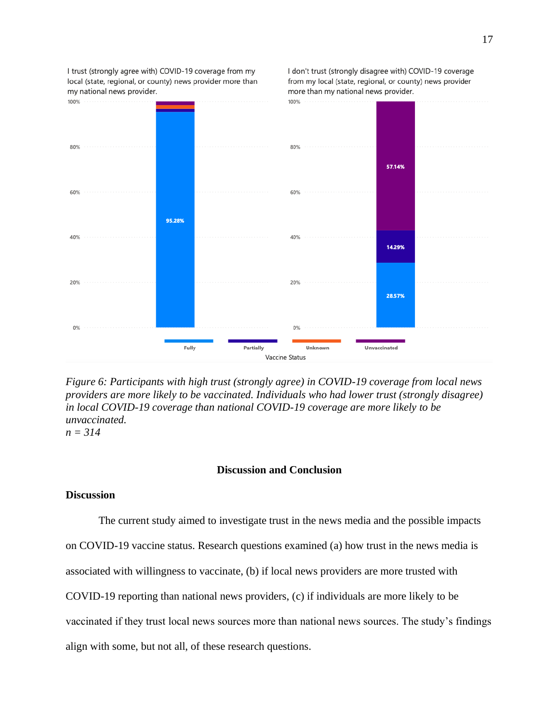

*Figure 6: Participants with high trust (strongly agree) in COVID-19 coverage from local news providers are more likely to be vaccinated. Individuals who had lower trust (strongly disagree) in local COVID-19 coverage than national COVID-19 coverage are more likely to be unvaccinated. n = 314*

#### **Discussion and Conclusion**

#### **Discussion**

The current study aimed to investigate trust in the news media and the possible impacts on COVID-19 vaccine status. Research questions examined (a) how trust in the news media is associated with willingness to vaccinate, (b) if local news providers are more trusted with COVID-19 reporting than national news providers, (c) if individuals are more likely to be vaccinated if they trust local news sources more than national news sources. The study's findings align with some, but not all, of these research questions.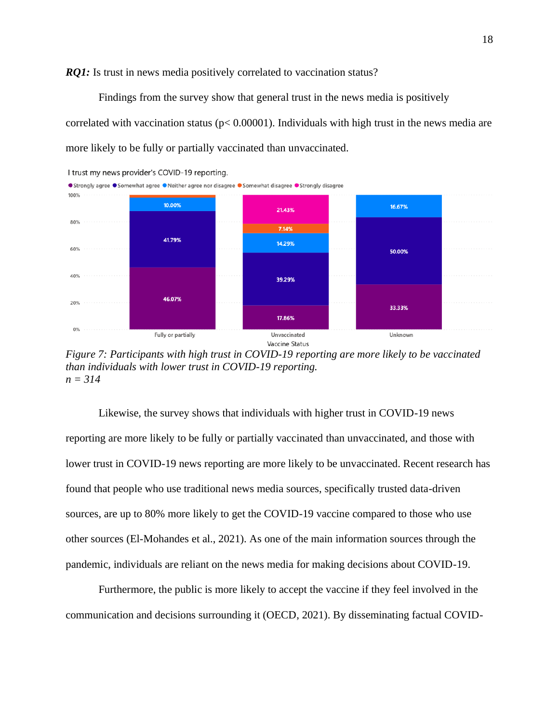*RQ1*: Is trust in news media positively correlated to vaccination status?

Findings from the survey show that general trust in the news media is positively correlated with vaccination status ( $p < 0.00001$ ). Individuals with high trust in the news media are more likely to be fully or partially vaccinated than unvaccinated.



*Figure 7: Participants with high trust in COVID-19 reporting are more likely to be vaccinated than individuals with lower trust in COVID-19 reporting. n = 314*

Likewise, the survey shows that individuals with higher trust in COVID-19 news reporting are more likely to be fully or partially vaccinated than unvaccinated, and those with lower trust in COVID-19 news reporting are more likely to be unvaccinated. Recent research has found that people who use traditional news media sources, specifically trusted data-driven sources, are up to 80% more likely to get the COVID-19 vaccine compared to those who use other sources (El-Mohandes et al., 2021). As one of the main information sources through the pandemic, individuals are reliant on the news media for making decisions about COVID-19.

Furthermore, the public is more likely to accept the vaccine if they feel involved in the communication and decisions surrounding it (OECD, 2021). By disseminating factual COVID-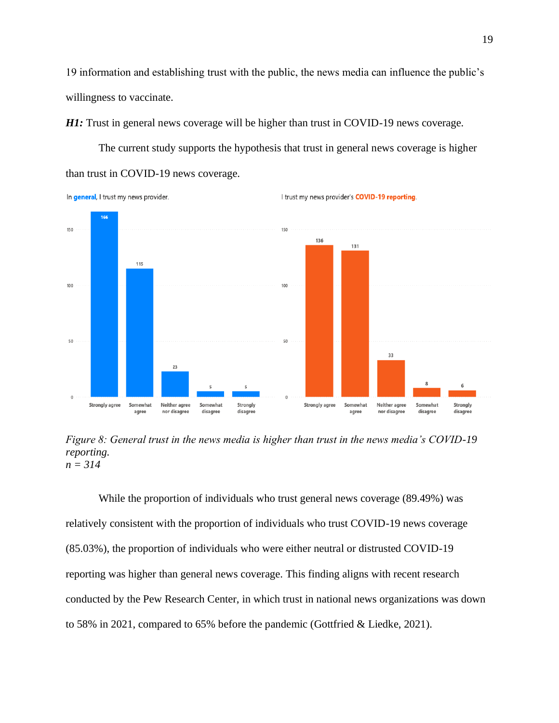19 information and establishing trust with the public, the news media can influence the public's willingness to vaccinate.

*H1*: Trust in general news coverage will be higher than trust in COVID-19 news coverage.

The current study supports the hypothesis that trust in general news coverage is higher





*Figure 8: General trust in the news media is higher than trust in the news media's COVID-19 reporting. n = 314*

While the proportion of individuals who trust general news coverage (89.49%) was relatively consistent with the proportion of individuals who trust COVID-19 news coverage (85.03%), the proportion of individuals who were either neutral or distrusted COVID-19 reporting was higher than general news coverage. This finding aligns with recent research conducted by the Pew Research Center, in which trust in national news organizations was down to 58% in 2021, compared to 65% before the pandemic (Gottfried & Liedke, 2021).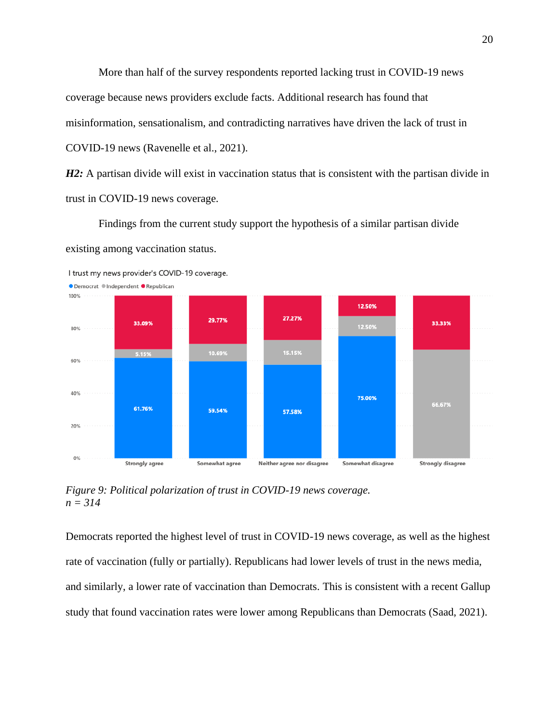More than half of the survey respondents reported lacking trust in COVID-19 news coverage because news providers exclude facts. Additional research has found that misinformation, sensationalism, and contradicting narratives have driven the lack of trust in COVID-19 news (Ravenelle et al., 2021).

*H2*: A partisan divide will exist in vaccination status that is consistent with the partisan divide in trust in COVID-19 news coverage.

Findings from the current study support the hypothesis of a similar partisan divide existing among vaccination status.



*Figure 9: Political polarization of trust in COVID-19 news coverage. n = 314*

Democrats reported the highest level of trust in COVID-19 news coverage, as well as the highest rate of vaccination (fully or partially). Republicans had lower levels of trust in the news media, and similarly, a lower rate of vaccination than Democrats. This is consistent with a recent Gallup study that found vaccination rates were lower among Republicans than Democrats (Saad, 2021).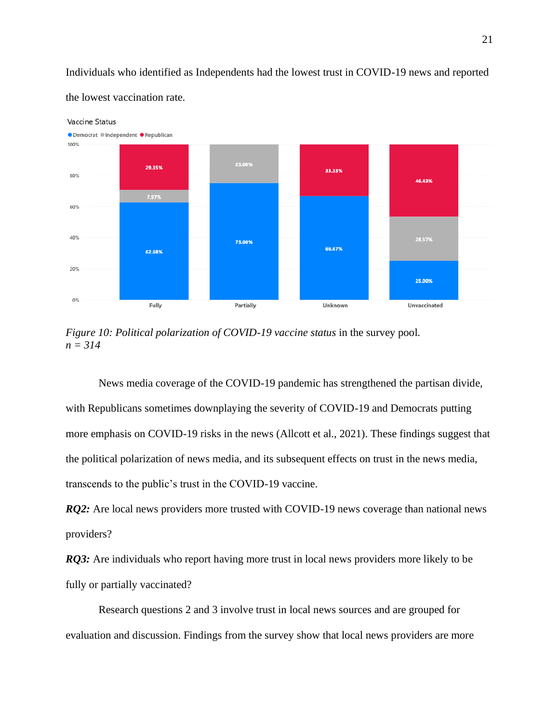Individuals who identified as Independents had the lowest trust in COVID-19 news and reported the lowest vaccination rate.



*Figure 10: Political polarization of COVID-19 vaccine status* in the survey pool*. n = 314*

News media coverage of the COVID-19 pandemic has strengthened the partisan divide, with Republicans sometimes downplaying the severity of COVID-19 and Democrats putting more emphasis on COVID-19 risks in the news (Allcott et al., 2021). These findings suggest that the political polarization of news media, and its subsequent effects on trust in the news media, transcends to the public's trust in the COVID-19 vaccine.

*RQ2*: Are local news providers more trusted with COVID-19 news coverage than national news providers?

*RQ3*: Are individuals who report having more trust in local news providers more likely to be fully or partially vaccinated?

Research questions 2 and 3 involve trust in local news sources and are grouped for evaluation and discussion. Findings from the survey show that local news providers are more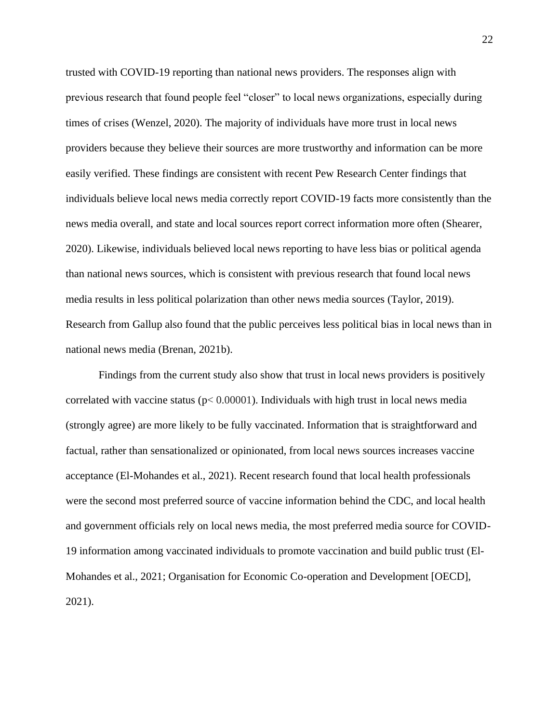trusted with COVID-19 reporting than national news providers. The responses align with previous research that found people feel "closer" to local news organizations, especially during times of crises (Wenzel, 2020). The majority of individuals have more trust in local news providers because they believe their sources are more trustworthy and information can be more easily verified. These findings are consistent with recent Pew Research Center findings that individuals believe local news media correctly report COVID-19 facts more consistently than the news media overall, and state and local sources report correct information more often (Shearer, 2020). Likewise, individuals believed local news reporting to have less bias or political agenda than national news sources, which is consistent with previous research that found local news media results in less political polarization than other news media sources (Taylor, 2019). Research from Gallup also found that the public perceives less political bias in local news than in national news media (Brenan, 2021b).

Findings from the current study also show that trust in local news providers is positively correlated with vaccine status ( $p < 0.00001$ ). Individuals with high trust in local news media (strongly agree) are more likely to be fully vaccinated. Information that is straightforward and factual, rather than sensationalized or opinionated, from local news sources increases vaccine acceptance (El-Mohandes et al., 2021). Recent research found that local health professionals were the second most preferred source of vaccine information behind the CDC, and local health and government officials rely on local news media, the most preferred media source for COVID-19 information among vaccinated individuals to promote vaccination and build public trust (El-Mohandes et al., 2021; Organisation for Economic Co-operation and Development [OECD], 2021).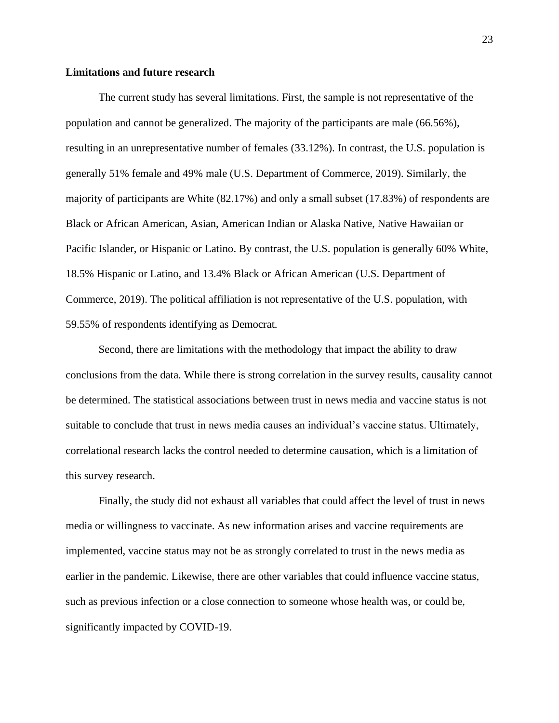## **Limitations and future research**

The current study has several limitations. First, the sample is not representative of the population and cannot be generalized. The majority of the participants are male (66.56%), resulting in an unrepresentative number of females (33.12%). In contrast, the U.S. population is generally 51% female and 49% male (U.S. Department of Commerce, 2019). Similarly, the majority of participants are White (82.17%) and only a small subset (17.83%) of respondents are Black or African American, Asian, American Indian or Alaska Native, Native Hawaiian or Pacific Islander, or Hispanic or Latino. By contrast, the U.S. population is generally 60% White, 18.5% Hispanic or Latino, and 13.4% Black or African American (U.S. Department of Commerce, 2019). The political affiliation is not representative of the U.S. population, with 59.55% of respondents identifying as Democrat.

Second, there are limitations with the methodology that impact the ability to draw conclusions from the data. While there is strong correlation in the survey results, causality cannot be determined. The statistical associations between trust in news media and vaccine status is not suitable to conclude that trust in news media causes an individual's vaccine status. Ultimately, correlational research lacks the control needed to determine causation, which is a limitation of this survey research.

Finally, the study did not exhaust all variables that could affect the level of trust in news media or willingness to vaccinate. As new information arises and vaccine requirements are implemented, vaccine status may not be as strongly correlated to trust in the news media as earlier in the pandemic. Likewise, there are other variables that could influence vaccine status, such as previous infection or a close connection to someone whose health was, or could be, significantly impacted by COVID-19.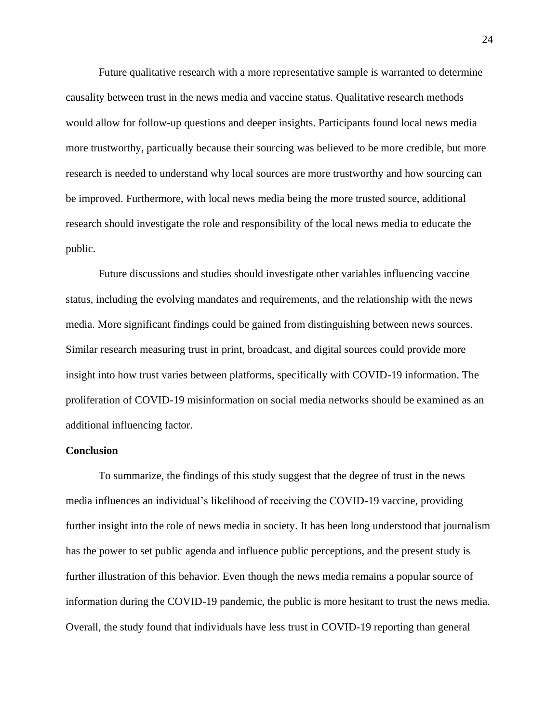Future qualitative research with a more representative sample is warranted to determine causality between trust in the news media and vaccine status. Qualitative research methods would allow for follow-up questions and deeper insights. Participants found local news media more trustworthy, particually because their sourcing was believed to be more credible, but more research is needed to understand why local sources are more trustworthy and how sourcing can be improved. Furthermore, with local news media being the more trusted source, additional research should investigate the role and responsibility of the local news media to educate the public.

Future discussions and studies should investigate other variables influencing vaccine status, including the evolving mandates and requirements, and the relationship with the news media. More significant findings could be gained from distinguishing between news sources. Similar research measuring trust in print, broadcast, and digital sources could provide more insight into how trust varies between platforms, specifically with COVID-19 information. The proliferation of COVID-19 misinformation on social media networks should be examined as an additional influencing factor.

#### **Conclusion**

To summarize, the findings of this study suggest that the degree of trust in the news media influences an individual's likelihood of receiving the COVID-19 vaccine, providing further insight into the role of news media in society. It has been long understood that journalism has the power to set public agenda and influence public perceptions, and the present study is further illustration of this behavior. Even though the news media remains a popular source of information during the COVID-19 pandemic, the public is more hesitant to trust the news media. Overall, the study found that individuals have less trust in COVID-19 reporting than general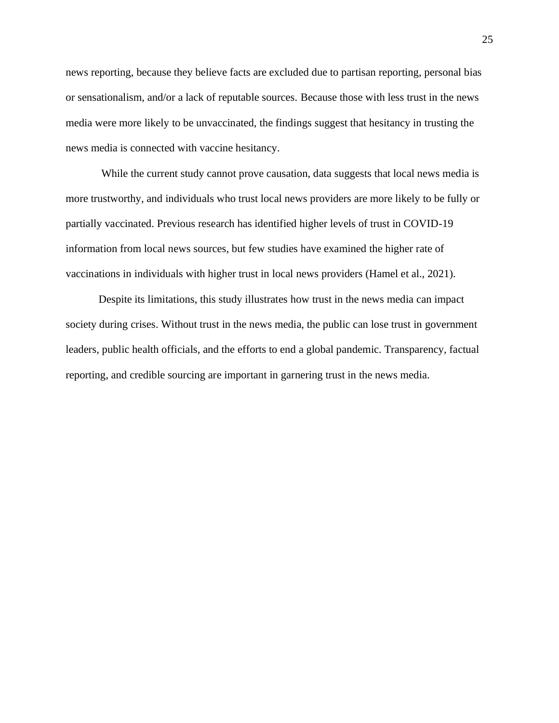news reporting, because they believe facts are excluded due to partisan reporting, personal bias or sensationalism, and/or a lack of reputable sources. Because those with less trust in the news media were more likely to be unvaccinated, the findings suggest that hesitancy in trusting the news media is connected with vaccine hesitancy.

While the current study cannot prove causation, data suggests that local news media is more trustworthy, and individuals who trust local news providers are more likely to be fully or partially vaccinated. Previous research has identified higher levels of trust in COVID-19 information from local news sources, but few studies have examined the higher rate of vaccinations in individuals with higher trust in local news providers (Hamel et al., 2021).

Despite its limitations, this study illustrates how trust in the news media can impact society during crises. Without trust in the news media, the public can lose trust in government leaders, public health officials, and the efforts to end a global pandemic. Transparency, factual reporting, and credible sourcing are important in garnering trust in the news media.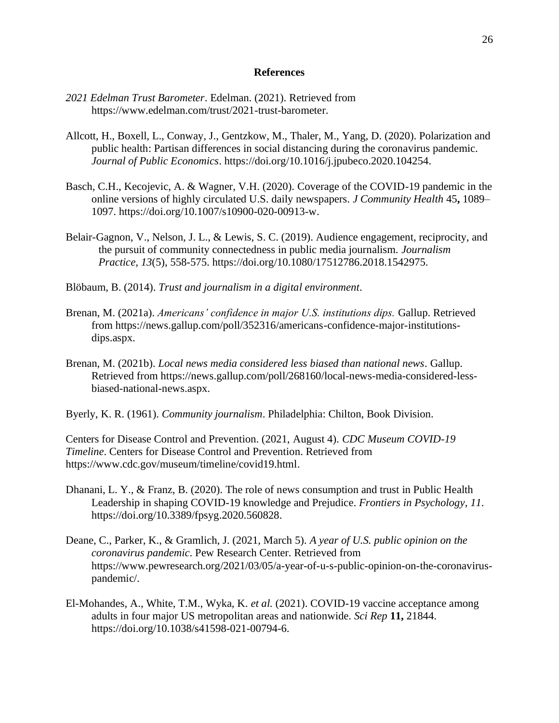## **References**

- *2021 Edelman Trust Barometer*. Edelman. (2021). Retrieved from https://www.edelman.com/trust/2021-trust-barometer.
- Allcott, H., Boxell, L., Conway, J., Gentzkow, M., Thaler, M., Yang, D. (2020). Polarization and public health: Partisan differences in social distancing during the coronavirus pandemic. *Journal of Public Economics*. [https://doi.org/10.1016/j.jpubeco.2020.104254.](https://doi.org/10.1016/j.jpubeco.2020.104254)
- Basch, C.H., Kecojevic, A. & Wagner, V.H. (2020). Coverage of the COVID-19 pandemic in the online versions of highly circulated U.S. daily newspapers. *J Community Health* 45**,** 1089– 1097. [https://doi.org/10.1007/s10900-020-00913-w.](https://doi.org/10.1007/s10900-020-00913-w)
- Belair-Gagnon, V., Nelson, J. L., & Lewis, S. C. (2019). Audience engagement, reciprocity, and the pursuit of community connectedness in public media journalism. *Journalism Practice, 13*(5), 558-575. [https://doi.org/10.1080/17512786.2018.1542975.](https://doi.org/10.1080/17512786.2018.1542975)
- Blöbaum, B. (2014). *Trust and journalism in a digital environment*.
- Brenan, M. (2021a). *Americans' confidence in major U.S. institutions dips.* Gallup. Retrieved from https://news.gallup.com/poll/352316/americans-confidence-major-institutionsdips.aspx.
- Brenan, M. (2021b). *Local news media considered less biased than national news*. Gallup. Retrieved from https://news.gallup.com/poll/268160/local-news-media-considered-lessbiased-national-news.aspx.
- Byerly, K. R. (1961). *Community journalism*. Philadelphia: Chilton, Book Division.

Centers for Disease Control and Prevention. (2021, August 4). *CDC Museum COVID-19 Timeline*. Centers for Disease Control and Prevention. Retrieved from https://www.cdc.gov/museum/timeline/covid19.html.

- Dhanani, L. Y., & Franz, B. (2020). The role of news consumption and trust in Public Health Leadership in shaping COVID-19 knowledge and Prejudice. *Frontiers in Psychology*, *11*. https://doi.org/10.3389/fpsyg.2020.560828.
- Deane, C., Parker, K., & Gramlich, J. (2021, March 5). *A year of U.S. public opinion on the coronavirus pandemic*. Pew Research Center. Retrieved from https://www.pewresearch.org/2021/03/05/a-year-of-u-s-public-opinion-on-the-coronaviruspandemic/.
- El-Mohandes, A., White, T.M., Wyka, K. *et al.* (2021). COVID-19 vaccine acceptance among adults in four major US metropolitan areas and nationwide. *Sci Rep* **11,** 21844. https://doi.org/10.1038/s41598-021-00794-6.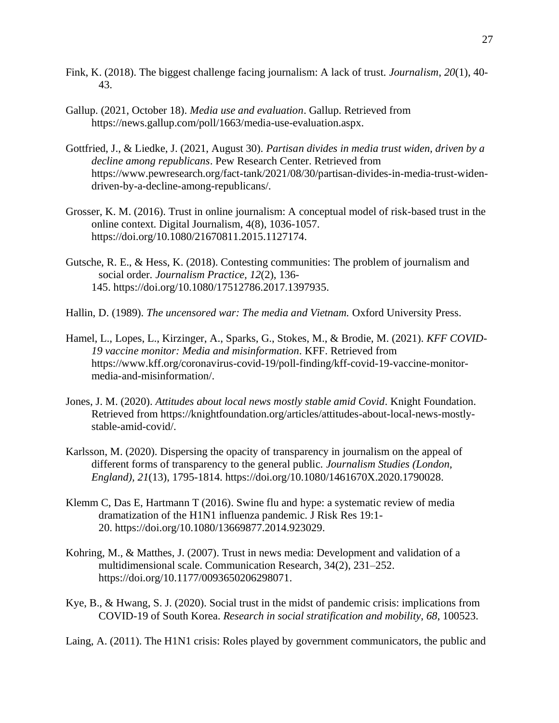- Fink, K. (2018). The biggest challenge facing journalism: A lack of trust. *Journalism*, *20*(1), 40- 43.
- Gallup. (2021, October 18). *Media use and evaluation*. Gallup. Retrieved from https://news.gallup.com/poll/1663/media-use-evaluation.aspx.
- Gottfried, J., & Liedke, J. (2021, August 30). *Partisan divides in media trust widen, driven by a decline among republicans*. Pew Research Center. Retrieved from https://www.pewresearch.org/fact-tank/2021/08/30/partisan-divides-in-media-trust-widendriven-by-a-decline-among-republicans/.
- Grosser, K. M. (2016). Trust in online journalism: A conceptual model of risk-based trust in the online context. Digital Journalism, 4(8), 1036-1057. https://doi.org/10.1080/21670811.2015.1127174.
- Gutsche, R. E., & Hess, K. (2018). Contesting communities: The problem of journalism and social order. *Journalism Practice, 12*(2), 136- 145. https://doi.org/10.1080/17512786.2017.1397935.
- Hallin, D. (1989). *The uncensored war: The media and Vietnam.* Oxford University Press.
- Hamel, L., Lopes, L., Kirzinger, A., Sparks, G., Stokes, M., & Brodie, M. (2021). *KFF COVID-19 vaccine monitor: Media and misinformation*. KFF. Retrieved from https://www.kff.org/coronavirus-covid-19/poll-finding/kff-covid-19-vaccine-monitormedia-and-misinformation/.
- Jones, J. M. (2020). *Attitudes about local news mostly stable amid Covid*. Knight Foundation. Retrieved from [https://knightfoundation.org/articles/attitudes-about-local-news-mostly](https://knightfoundation.org/articles/attitudes-about-local-news-mostly-stable-amid-covid/)stable-amid-covid/.
- Karlsson, M. (2020). Dispersing the opacity of transparency in journalism on the appeal of different forms of transparency to the general public. *Journalism Studies (London, England), 21*(13), 1795-1814. [https://doi.org/10.1080/1461670X.2020.1790028.](https://doi.org/10.1080/1461670X.2020.1790028)
- Klemm C, Das E, Hartmann T (2016). Swine flu and hype: a systematic review of media dramatization of the H1N1 influenza pandemic. J Risk Res 19:1- 20. https://doi.org/10.1080/13669877.2014.923029.
- Kohring, M., & Matthes, J. (2007). Trust in news media: Development and validation of a multidimensional scale. Communication Research, 34(2), 231–252. https://doi.org/10.1177/0093650206298071.
- Kye, B., & Hwang, S. J. (2020). Social trust in the midst of pandemic crisis: implications from COVID-19 of South Korea. *Research in social stratification and mobility*, *68*, 100523.

Laing, A. (2011). The H1N1 crisis: Roles played by government communicators, the public and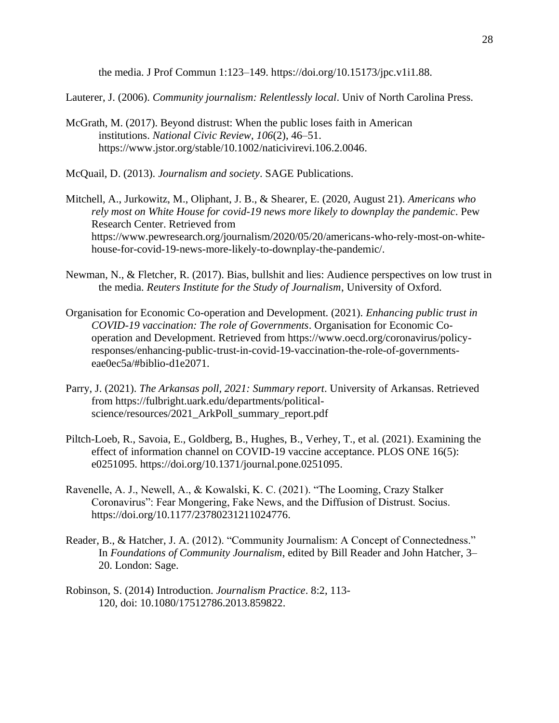the media. J Prof Commun 1:123–149. [https://doi.org/10.15173/jpc.v1i1.88.](https://doi.org/10.15173/jpc.v1i1.88)

Lauterer, J. (2006). *Community journalism: Relentlessly local*. Univ of North Carolina Press.

McGrath, M. (2017). Beyond distrust: When the public loses faith in American institutions. *National Civic Review*, *106*(2), 46–51. https://www.jstor.org/stable/10.1002/naticivirevi.106.2.0046.

McQuail, D. (2013). *Journalism and society*. SAGE Publications.

- Mitchell, A., Jurkowitz, M., Oliphant, J. B., & Shearer, E. (2020, August 21). *Americans who rely most on White House for covid-19 news more likely to downplay the pandemic*. Pew Research Center. Retrieved from https://www.pewresearch.org/journalism/2020/05/20/americans-who-rely-most-on-whitehouse-for-covid-19-news-more-likely-to-downplay-the-pandemic/.
- Newman, N., & Fletcher, R. (2017). Bias, bullshit and lies: Audience perspectives on low trust in the media. *Reuters Institute for the Study of Journalism*, University of Oxford.
- Organisation for Economic Co-operation and Development. (2021). *Enhancing public trust in COVID-19 vaccination: The role of Governments*. Organisation for Economic Cooperation and Development. Retrieved from https://www.oecd.org/coronavirus/policyresponses/enhancing-public-trust-in-covid-19-vaccination-the-role-of-governmentseae0ec5a/#biblio-d1e2071.
- Parry, J. (2021). *The Arkansas poll, 2021: Summary report*. University of Arkansas. Retrieved from https://fulbright.uark.edu/departments/politicalscience/resources/2021\_ArkPoll\_summary\_report.pdf
- Piltch-Loeb, R., Savoia, E., Goldberg, B., Hughes, B., Verhey, T., et al. (2021). Examining the effect of information channel on COVID-19 vaccine acceptance. PLOS ONE 16(5): e0251095. https://doi.org/10.1371/journal.pone.0251095.
- Ravenelle, A. J., Newell, A., & Kowalski, K. C. (2021). "The Looming, Crazy Stalker Coronavirus": Fear Mongering, Fake News, and the Diffusion of Distrust. Socius. https://doi.org/10.1177/23780231211024776.
- Reader, B., & Hatcher, J. A. (2012). "Community Journalism: A Concept of Connectedness." In *Foundations of Community Journalism*, edited by Bill Reader and John Hatcher, 3– 20. London: Sage.
- Robinson, S. (2014) Introduction. *Journalism Practice*. 8:2, 113- 120, doi: 10.1080/17512786.2013.859822.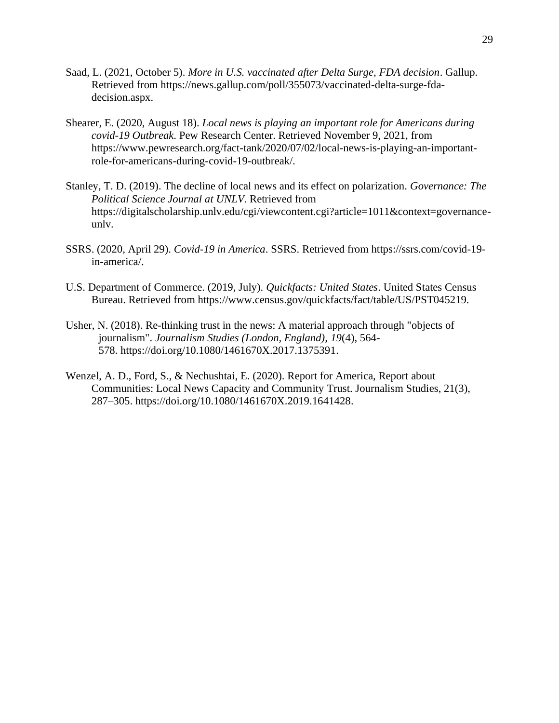- Saad, L. (2021, October 5). *More in U.S. vaccinated after Delta Surge, FDA decision*. Gallup. Retrieved from https://news.gallup.com/poll/355073/vaccinated-delta-surge-fdadecision.aspx.
- Shearer, E. (2020, August 18). *Local news is playing an important role for Americans during covid-19 Outbreak*. Pew Research Center. Retrieved November 9, 2021, from https://www.pewresearch.org/fact-tank/2020/07/02/local-news-is-playing-an-importantrole-for-americans-during-covid-19-outbreak/.
- Stanley, T. D. (2019). The decline of local news and its effect on polarization. *Governance: The Political Science Journal at UNLV*. Retrieved from https://digitalscholarship.unlv.edu/cgi/viewcontent.cgi?article=1011&context=governance[unlv.](https://digitalscholarship.unlv.edu/cgi/viewcontent.cgi?article=1011&context=governance-unlv)
- SSRS. (2020, April 29). *Covid-19 in America*. SSRS. Retrieved from https://ssrs.com/covid-19 in-america/.
- U.S. Department of Commerce. (2019, July). *Quickfacts: United States*. United States Census Bureau. Retrieved from https://www.census.gov/quickfacts/fact/table/US/PST045219.
- Usher, N. (2018). Re-thinking trust in the news: A material approach through "objects of journalism". *Journalism Studies (London, England), 19*(4), 564- 578. https://doi.org/10.1080/1461670X.2017.1375391.
- Wenzel, A. D., Ford, S., & Nechushtai, E. (2020). Report for America, Report about Communities: Local News Capacity and Community Trust. Journalism Studies, 21(3), 287–305. https://doi.org/10.1080/1461670X.2019.1641428.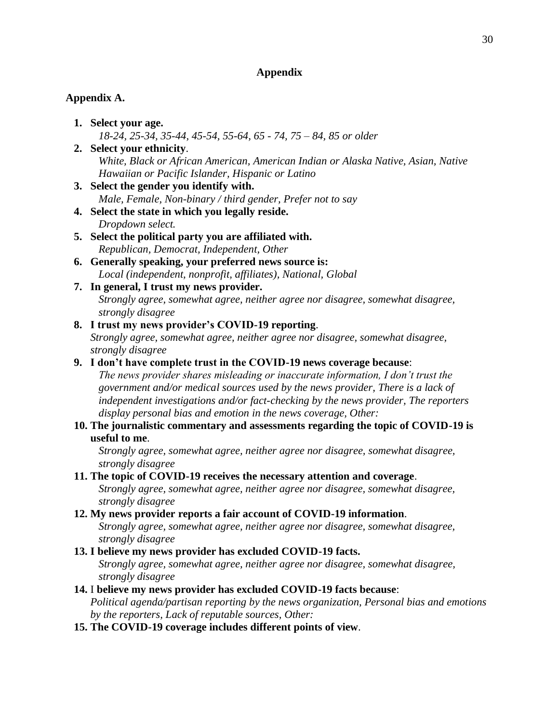## **Appendix**

## **Appendix A.**

- **1. Select your age.** *18-24, 25-34, 35-44, 45-54, 55-64, 65 - 74, 75 – 84, 85 or older*
- **2. Select your ethnicity**. *White, Black or African American, American Indian or Alaska Native, Asian, Native Hawaiian or Pacific Islander, Hispanic or Latino*
- **3. Select the gender you identify with.** *Male, Female, Non-binary / third gender, Prefer not to say*
- **4. Select the state in which you legally reside.** *Dropdown select.*
- **5. Select the political party you are affiliated with.** *Republican, Democrat, Independent, Other*
- **6. Generally speaking, your preferred news source is:** *Local (independent, nonprofit, affiliates), National, Global*
- **7. In general, I trust my news provider.** *Strongly agree, somewhat agree, neither agree nor disagree, somewhat disagree, strongly disagree*

## **8. I trust my news provider's COVID-19 reporting**.

*Strongly agree, somewhat agree, neither agree nor disagree, somewhat disagree, strongly disagree*

## **9. I don't have complete trust in the COVID-19 news coverage because**:

*The news provider shares misleading or inaccurate information, I don't trust the government and/or medical sources used by the news provider, There is a lack of independent investigations and/or fact-checking by the news provider, The reporters display personal bias and emotion in the news coverage, Other:* 

## **10. The journalistic commentary and assessments regarding the topic of COVID-19 is useful to me**.

*Strongly agree, somewhat agree, neither agree nor disagree, somewhat disagree, strongly disagree*

## **11. The topic of COVID-19 receives the necessary attention and coverage**.

*Strongly agree, somewhat agree, neither agree nor disagree, somewhat disagree, strongly disagree*

## **12. My news provider reports a fair account of COVID-19 information**.

*Strongly agree, somewhat agree, neither agree nor disagree, somewhat disagree, strongly disagree*

## **13. I believe my news provider has excluded COVID-19 facts.**

*Strongly agree, somewhat agree, neither agree nor disagree, somewhat disagree, strongly disagree*

## **14.** I **believe my news provider has excluded COVID-19 facts because**:

*Political agenda/partisan reporting by the news organization, Personal bias and emotions by the reporters, Lack of reputable sources, Other:*

## **15. The COVID-19 coverage includes different points of view**.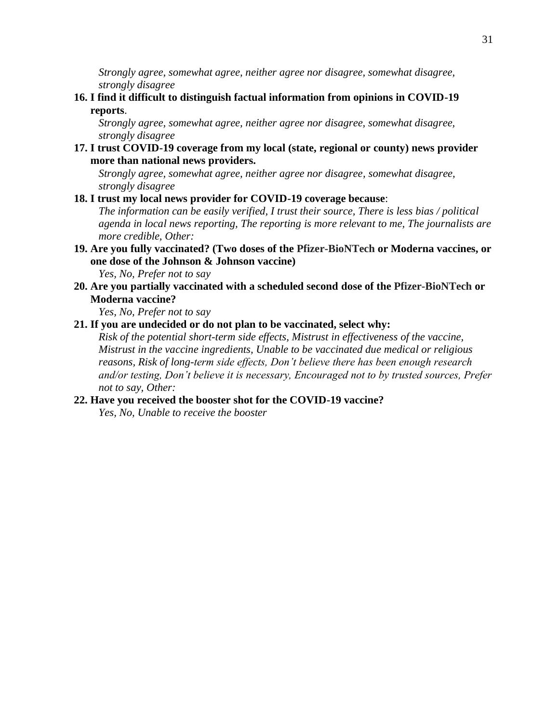*Strongly agree, somewhat agree, neither agree nor disagree, somewhat disagree, strongly disagree*

**16. I find it difficult to distinguish factual information from opinions in COVID-19 reports**.

*Strongly agree, somewhat agree, neither agree nor disagree, somewhat disagree, strongly disagree*

**17. I trust COVID-19 coverage from my local (state, regional or county) news provider more than national news providers.**

*Strongly agree, somewhat agree, neither agree nor disagree, somewhat disagree, strongly disagree*

## **18. I trust my local news provider for COVID-19 coverage because**:

*The information can be easily verified, I trust their source, There is less bias / political agenda in local news reporting, The reporting is more relevant to me, The journalists are more credible, Other:*

**19. Are you fully vaccinated? (Two doses of the Pfizer-BioNTech or Moderna vaccines, or one dose of the Johnson & Johnson vaccine)**

*Yes, No, Prefer not to say*

**20. Are you partially vaccinated with a scheduled second dose of the Pfizer-BioNTech or Moderna vaccine?**

*Yes, No, Prefer not to say*

## **21. If you are undecided or do not plan to be vaccinated, select why:**

*Risk of the potential short-term side effects, Mistrust in effectiveness of the vaccine, Mistrust in the vaccine ingredients, Unable to be vaccinated due medical or religious reasons, Risk of long-term side effects, Don't believe there has been enough research and/or testing, Don't believe it is necessary, Encouraged not to by trusted sources, Prefer not to say, Other:*

### **22. Have you received the booster shot for the COVID-19 vaccine?**

*Yes, No, Unable to receive the booster*